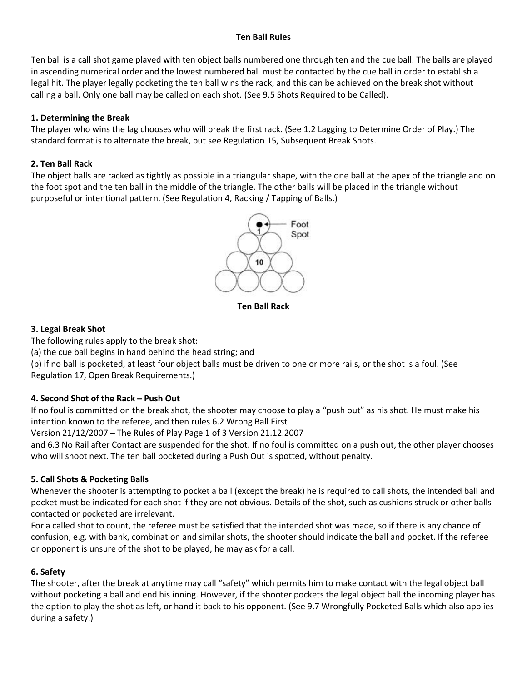#### **Ten Ball Rules**

Ten ball is a call shot game played with ten object balls numbered one through ten and the cue ball. The balls are played in ascending numerical order and the lowest numbered ball must be contacted by the cue ball in order to establish a legal hit. The player legally pocketing the ten ball wins the rack, and this can be achieved on the break shot without calling a ball. Only one ball may be called on each shot. (See 9.5 Shots Required to be Called).

## **1. Determining the Break**

The player who wins the lag chooses who will break the first rack. (See 1.2 Lagging to Determine Order of Play.) The standard format is to alternate the break, but see Regulation 15, Subsequent Break Shots.

# **2. Ten Ball Rack**

The object balls are racked as tightly as possible in a triangular shape, with the one ball at the apex of the triangle and on the foot spot and the ten ball in the middle of the triangle. The other balls will be placed in the triangle without purposeful or intentional pattern. (See Regulation 4, Racking / Tapping of Balls.)



**Ten Ball Rack**

## **3. Legal Break Shot**

The following rules apply to the break shot:

(a) the cue ball begins in hand behind the head string; and

(b) if no ball is pocketed, at least four object balls must be driven to one or more rails, or the shot is a foul. (See Regulation 17, Open Break Requirements.)

## **4. Second Shot of the Rack – Push Out**

If no foul is committed on the break shot, the shooter may choose to play a "push out"as his shot. He must make his intention known to the referee, and then rules 6.2 Wrong Ball First

Version 21/12/2007 – The Rules of Play Page 1 of 3 Version 21.12.2007

and 6.3 No Rail after Contact are suspended for the shot. If no foul is committed on a push out, the other player chooses who will shoot next. The ten ball pocketed during a Push Out is spotted, without penalty.

## **5. Call Shots & Pocketing Balls**

Whenever the shooter is attempting to pocket a ball (except the break) he is required to call shots, the intended ball and pocket must be indicated for each shot if they are not obvious. Details of the shot, such as cushions struck or other balls contacted or pocketed are irrelevant.

For a called shot to count, the referee must be satisfied that the intended shot was made, so if there is any chance of confusion, e.g. with bank, combination and similar shots, the shooter should indicate the ball and pocket. If the referee or opponent is unsure of the shot to be played, he may ask for a call.

## **6. Safety**

The shooter, after the break at anytime may call "safety" which permits him to make contact with the legal object ball without pocketing a ball and end his inning. However, if the shooter pockets the legal object ball the incoming player has the option to play the shot as left, or hand it back to his opponent. (See 9.7 Wrongfully Pocketed Balls which also applies during a safety.)